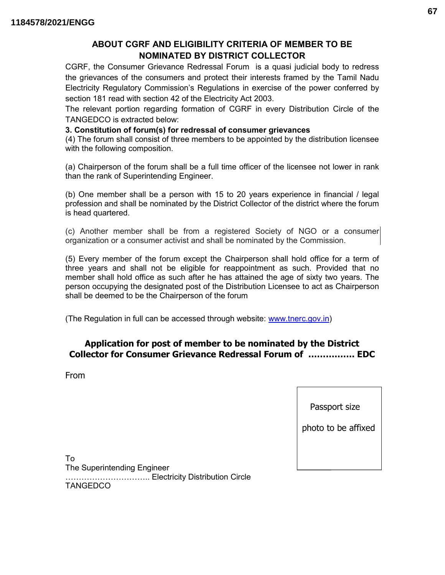# ABOUT CGRF AND ELIGIBILITY CRITERIA OF MEMBER TO BE NOMINATED BY DISTRICT COLLECTOR

CGRF, the Consumer Grievance Redressal Forum is a quasi judicial body to redress the grievances of the consumers and protect their interests framed by the Tamil Nadu Electricity Regulatory Commission's Regulations in exercise of the power conferred by section 181 read with section 42 of the Electricity Act 2003.

The relevant portion regarding formation of CGRF in every Distribution Circle of the TANGEDCO is extracted below:

#### 3. Constitution of forum(s) for redressal of consumer grievances

(4) The forum shall consist of three members to be appointed by the distribution licensee with the following composition.

(a) Chairperson of the forum shall be a full time officer of the licensee not lower in rank than the rank of Superintending Engineer.

(b) One member shall be a person with 15 to 20 years experience in financial / legal profession and shall be nominated by the District Collector of the district where the forum is head quartered.

(c) Another member shall be from a registered Society of NGO or a consumer organization or a consumer activist and shall be nominated by the Commission.

(5) Every member of the forum except the Chairperson shall hold office for a term of three years and shall not be eligible for reappointment as such. Provided that no member shall hold office as such after he has attained the age of sixty two years. The person occupying the designated post of the Distribution Licensee to act as Chairperson shall be deemed to be the Chairperson of the forum

(The Regulation in full can be accessed through website: www.tnerc.gov.in)

## Application for post of member to be nominated by the District Collector for Consumer Grievance Redressal Forum of ……………. EDC

From

#### Passport size

photo to be affixed

To The Superintending Engineer ………………………….. Electricity Distribution Circle TANGEDCO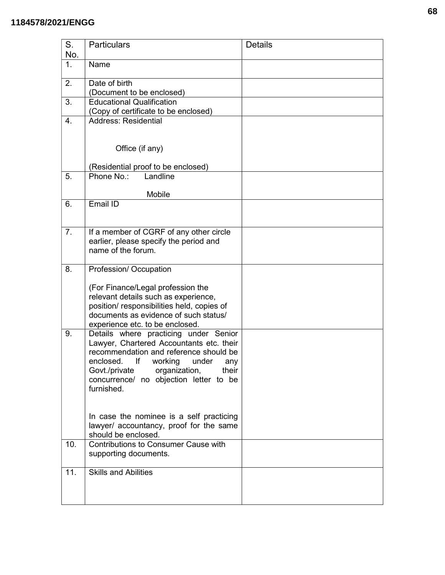#### **1184578/2021/ENGG**

| S.        | <b>Particulars</b>                                                                 | <b>Details</b> |
|-----------|------------------------------------------------------------------------------------|----------------|
| No.<br>1. | Name                                                                               |                |
|           |                                                                                    |                |
| 2.        | Date of birth                                                                      |                |
|           | (Document to be enclosed)                                                          |                |
| 3.        | <b>Educational Qualification</b>                                                   |                |
| 4.        | (Copy of certificate to be enclosed)<br><b>Address: Residential</b>                |                |
|           |                                                                                    |                |
|           | Office (if any)                                                                    |                |
|           | (Residential proof to be enclosed)                                                 |                |
| 5.        | Phone No.:<br>Landline                                                             |                |
|           |                                                                                    |                |
|           | Mobile                                                                             |                |
| 6.        | Email ID                                                                           |                |
|           |                                                                                    |                |
| 7.        | If a member of CGRF of any other circle                                            |                |
|           | earlier, please specify the period and                                             |                |
|           | name of the forum.                                                                 |                |
| 8.        | Profession/Occupation                                                              |                |
|           |                                                                                    |                |
|           | (For Finance/Legal profession the                                                  |                |
|           | relevant details such as experience,                                               |                |
|           | position/responsibilities held, copies of<br>documents as evidence of such status/ |                |
|           | experience etc. to be enclosed.                                                    |                |
| 9.        | Details where practicing under Senior                                              |                |
|           | Lawyer, Chartered Accountants etc. their                                           |                |
|           | recommendation and reference should be                                             |                |
|           | enclosed. If working under any                                                     |                |
|           | Govt./private<br>organization,<br>their<br>concurrence/ no objection letter to be  |                |
|           | furnished.                                                                         |                |
|           |                                                                                    |                |
|           |                                                                                    |                |
|           | In case the nominee is a self practicing                                           |                |
|           | lawyer/ accountancy, proof for the same<br>should be enclosed.                     |                |
| 10.       | Contributions to Consumer Cause with                                               |                |
|           | supporting documents.                                                              |                |
|           |                                                                                    |                |
| 11.       | <b>Skills and Abilities</b>                                                        |                |
|           |                                                                                    |                |
|           |                                                                                    |                |
|           |                                                                                    |                |